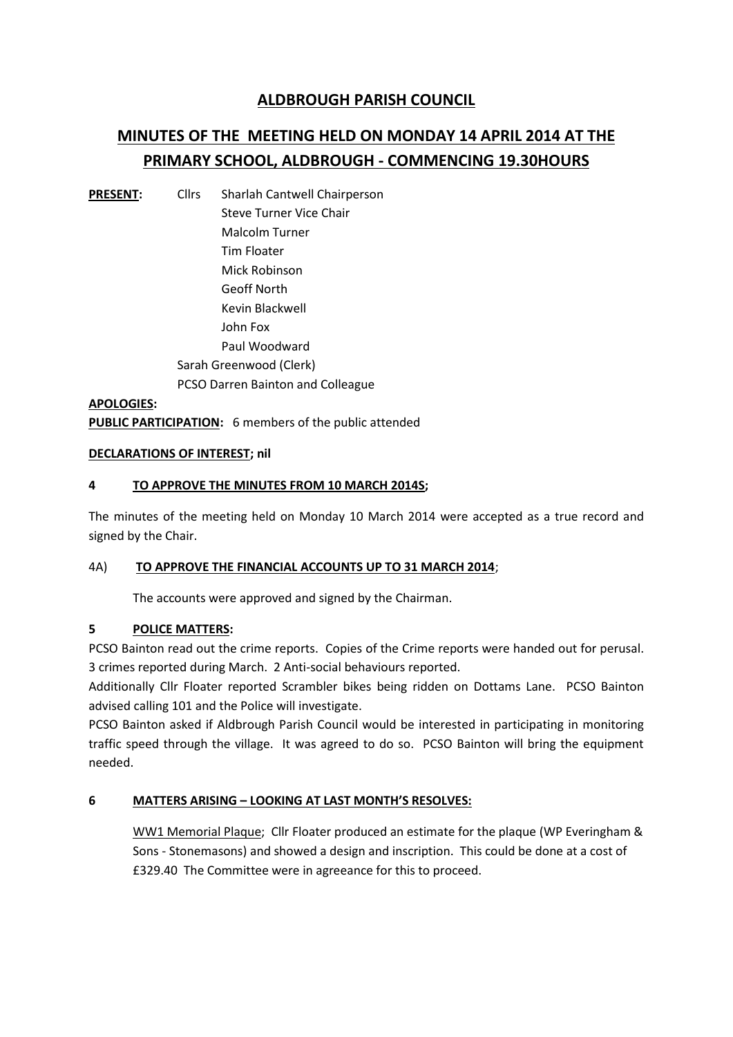## **ALDBROUGH PARISH COUNCIL**

# **MINUTES OF THE MEETING HELD ON MONDAY 14 APRIL 2014 AT THE PRIMARY SCHOOL, ALDBROUGH - COMMENCING 19.30HOURS**

**PRESENT:** Cllrs Sharlah Cantwell Chairperson Steve Turner Vice Chair Malcolm Turner Tim Floater Mick Robinson Geoff North Kevin Blackwell John Fox Paul Woodward Sarah Greenwood (Clerk) PCSO Darren Bainton and Colleague

**APOLOGIES: PUBLIC PARTICIPATION:** 6 members of the public attended

#### **DECLARATIONS OF INTEREST; nil**

#### **4 TO APPROVE THE MINUTES FROM 10 MARCH 2014S;**

The minutes of the meeting held on Monday 10 March 2014 were accepted as a true record and signed by the Chair.

#### 4A) **TO APPROVE THE FINANCIAL ACCOUNTS UP TO 31 MARCH 2014**;

The accounts were approved and signed by the Chairman.

#### **5 POLICE MATTERS:**

PCSO Bainton read out the crime reports. Copies of the Crime reports were handed out for perusal. 3 crimes reported during March. 2 Anti-social behaviours reported.

Additionally Cllr Floater reported Scrambler bikes being ridden on Dottams Lane. PCSO Bainton advised calling 101 and the Police will investigate.

PCSO Bainton asked if Aldbrough Parish Council would be interested in participating in monitoring traffic speed through the village. It was agreed to do so. PCSO Bainton will bring the equipment needed.

#### **6 MATTERS ARISING – LOOKING AT LAST MONTH'S RESOLVES:**

WW1 Memorial Plaque; Cllr Floater produced an estimate for the plaque (WP Everingham & Sons - Stonemasons) and showed a design and inscription. This could be done at a cost of £329.40 The Committee were in agreeance for this to proceed.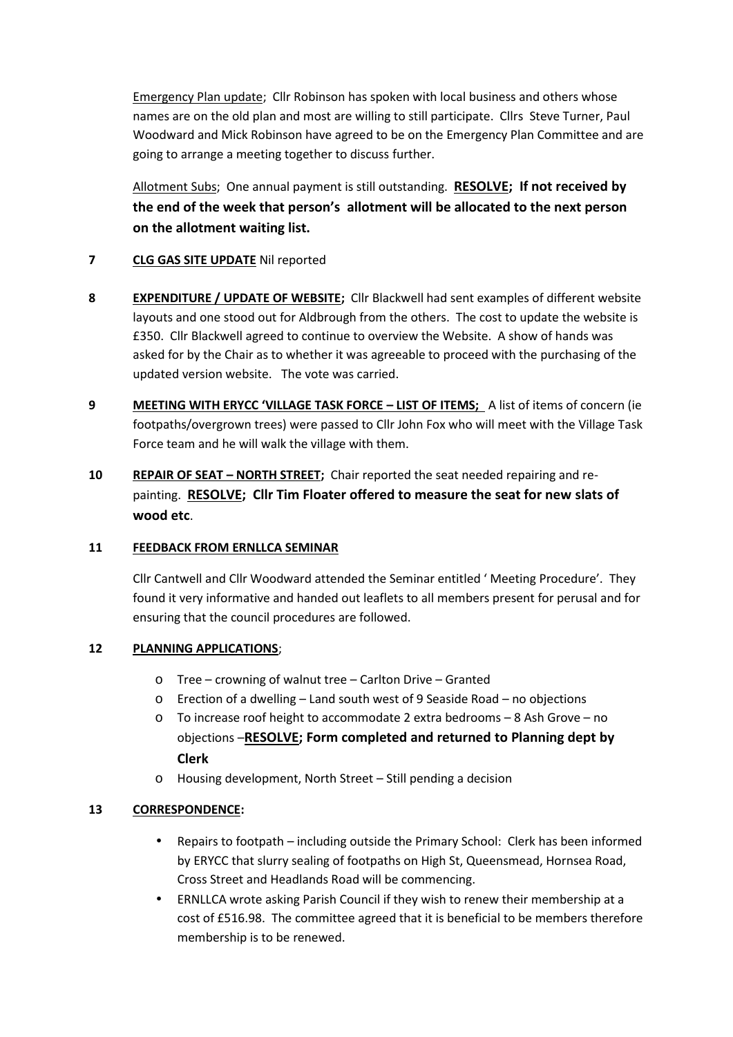Emergency Plan update; Cllr Robinson has spoken with local business and others whose names are on the old plan and most are willing to still participate. Cllrs Steve Turner, Paul Woodward and Mick Robinson have agreed to be on the Emergency Plan Committee and are going to arrange a meeting together to discuss further.

Allotment Subs; One annual payment is still outstanding. **RESOLVE; If not received by the end of the week that person's allotment will be allocated to the next person on the allotment waiting list.**

### **7 CLG GAS SITE UPDATE** Nil reported

- **8 EXPENDITURE / UPDATE OF WEBSITE;** Cllr Blackwell had sent examples of different website layouts and one stood out for Aldbrough from the others. The cost to update the website is £350. Cllr Blackwell agreed to continue to overview the Website. A show of hands was asked for by the Chair as to whether it was agreeable to proceed with the purchasing of the updated version website. The vote was carried.
- **9 MEETING WITH ERYCC 'VILLAGE TASK FORCE – LIST OF ITEMS;** A list of items of concern (ie footpaths/overgrown trees) were passed to Cllr John Fox who will meet with the Village Task Force team and he will walk the village with them.
- **10 REPAIR OF SEAT – NORTH STREET;** Chair reported the seat needed repairing and re painting. **RESOLVE; Cllr Tim Floater offered to measure the seat for new slats of wood etc**.

#### **11 FEEDBACK FROM ERNLLCA SEMINAR**

Cllr Cantwell and Cllr Woodward attended the Seminar entitled ' Meeting Procedure'. They found it very informative and handed out leaflets to all members present for perusal and for ensuring that the council procedures are followed.

## **12 PLANNING APPLICATIONS**;

- o Tree crowning of walnut tree Carlton Drive Granted
- o Erection of a dwelling Land south west of 9 Seaside Road no objections
- o To increase roof height to accommodate 2 extra bedrooms 8 Ash Grove no objections –**RESOLVE; Form completed and returned to Planning dept by Clerk**
- o Housing development, North Street Still pending a decision

#### **13 CORRESPONDENCE:**

- Repairs to footpath including outside the Primary School: Clerk has been informed by ERYCC that slurry sealing of footpaths on High St, Queensmead, Hornsea Road, Cross Street and Headlands Road will be commencing.
- ERNLLCA wrote asking Parish Council if they wish to renew their membership at a cost of £516.98. The committee agreed that it is beneficial to be members therefore membership is to be renewed.